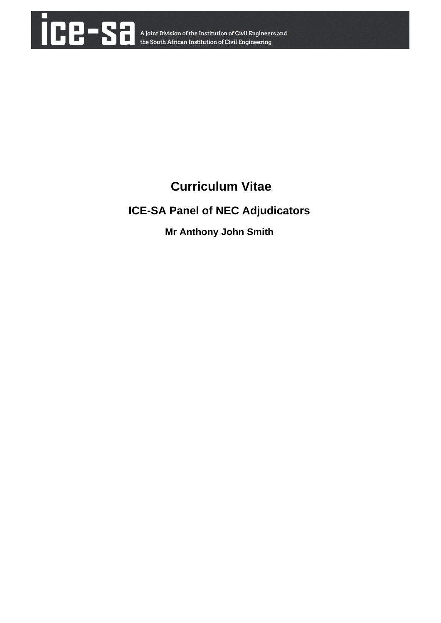

# **Curriculum Vitae**

## **ICE-SA Panel of NEC Adjudicators**

## **Mr Anthony John Smith**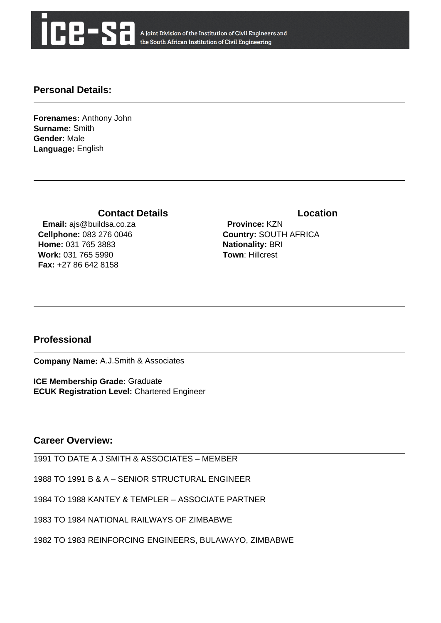

A Joint Division of the Institution of Civil Engineers and the South African Institution of Civil Engineering

#### **Personal Details:**

**Forenames:** Anthony John **Surname:** Smith **Gender:** Male **Language:** English

### **Contact Details Contact Details**

 **Email:** ajs@buildsa.co.za **Cellphone:** 083 276 0046 **Home:** 031 765 3883 **Work:** 031 765 5990 **Fax:** +27 86 642 8158

 **Province:** KZN **Country:** SOUTH AFRICA **Nationality:** BRI **Town**: Hillcrest

### **Professional**

**Company Name:** A.J.Smith & Associates

**ICE Membership Grade:** Graduate **ECUK Registration Level:** Chartered Engineer

#### **Career Overview:**

1991 TO DATE A J SMITH & ASSOCIATES – MEMBER

1988 TO 1991 B & A – SENIOR STRUCTURAL ENGINEER

1984 TO 1988 KANTEY & TEMPLER – ASSOCIATE PARTNER

1983 TO 1984 NATIONAL RAILWAYS OF ZIMBABWE

1982 TO 1983 REINFORCING ENGINEERS, BULAWAYO, ZIMBABWE